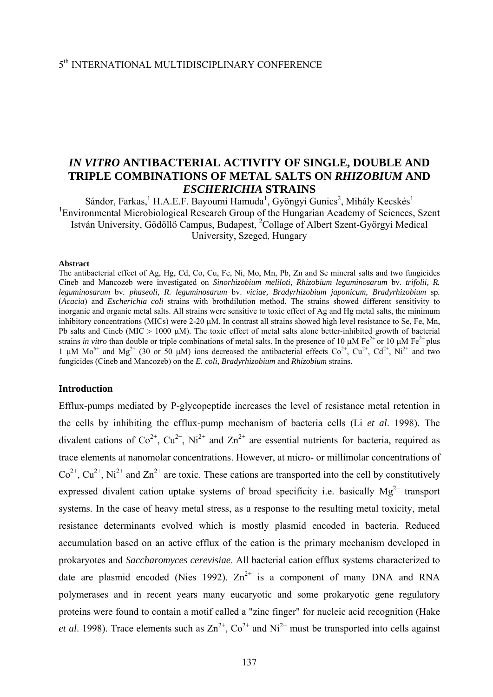# *IN VITRO* **ANTIBACTERIAL ACTIVITY OF SINGLE, DOUBLE AND TRIPLE COMBINATIONS OF METAL SALTS ON** *RHIZOBIUM* **AND** *ESCHERICHIA* **STRAINS**

Sándor, Farkas, <sup>1</sup> H.A.E.F. Bayoumi Hamuda<sup>1</sup>, Gyöngyi Gunics<sup>2</sup>, Mihály Kecskés<sup>1</sup> <sup>1</sup>Environmental Microbiological Research Group of the Hungarian Academy of Sciences, Szent István University, Gödöllő Campus, Budapest, <sup>2</sup>Collage of Albert Szent-Györgyi Medical University, Szeged, Hungary

#### **Abstract**

The antibacterial effect of Ag, Hg, Cd, Co, Cu, Fe, Ni, Mo, Mn, Pb, Zn and Se mineral salts and two fungicides Cineb and Mancozeb were investigated on *Sinorhizobium meliloti*, *Rhizobium leguminosarum* bv. *trifolii, R. leguminosarum* bv*. phaseoli, R. leguminosarum* bv. *viciae, Bradyrhizobium japonicum, Bradyrhizobium* sp*.*  (*Acacia*) and *Escherichia coli* strains with brothdilution method. The strains showed different sensitivity to inorganic and organic metal salts. All strains were sensitive to toxic effect of Ag and Hg metal salts, the minimum inhibitory concentrations (MICs) were 2-20 μM. In contrast all strains showed high level resistance to Se, Fe, Mn, Pb salts and Cineb (MIC > 1000 μM). The toxic effect of metal salts alone better-inhibited growth of bacterial strains *in vitro* than double or triple combinations of metal salts. In the presence of 10 μM Fe<sup>2+</sup> or 10 μM Fe<sup>2+</sup> plus 1 μM  $Mo^{6+}$  and  $Mg^{2+}$  (30 or 50 μM) ions decreased the antibacterial effects  $Co^{2+}$ ,  $Cu^{2+}$ ,  $Cd^{2+}$ ,  $Ni^{2+}$  and two fungicides (Cineb and Mancozeb) on the *E. coli*, *Bradyrhizobium* and *Rhizobium* strains.

### **Introduction**

Efflux-pumps mediated by P-glycopeptide increases the level of resistance metal retention in the cells by inhibiting the efflux-pump mechanism of bacteria cells (Li *et al*. 1998). The divalent cations of  $Co^{2+}$ ,  $Cu^{2+}$ ,  $Ni^{2+}$  and  $Zn^{2+}$  are essential nutrients for bacteria, required as trace elements at nanomolar concentrations. However, at micro- or millimolar concentrations of  $Co<sup>2+</sup>, Cu<sup>2+</sup>, Ni<sup>2+</sup>$  and  $Zn<sup>2+</sup>$  are toxic. These cations are transported into the cell by constitutively expressed divalent cation uptake systems of broad specificity i.e. basically  $Mg^{2+}$  transport systems. In the case of heavy metal stress, as a response to the resulting metal toxicity, metal resistance determinants evolved which is mostly plasmid encoded in bacteria. Reduced accumulation based on an active efflux of the cation is the primary mechanism developed in prokaryotes and *Saccharomyces cerevisiae*. All bacterial cation efflux systems characterized to date are plasmid encoded (Nies 1992).  $Zn^{2+}$  is a component of many DNA and RNA polymerases and in recent years many eucaryotic and some prokaryotic gene regulatory proteins were found to contain a motif called a "zinc finger" for nucleic acid recognition (Hake *et al.* 1998). Trace elements such as  $\text{Zn}^{2+}$ ,  $\text{Co}^{2+}$  and  $\text{Ni}^{2+}$  must be transported into cells against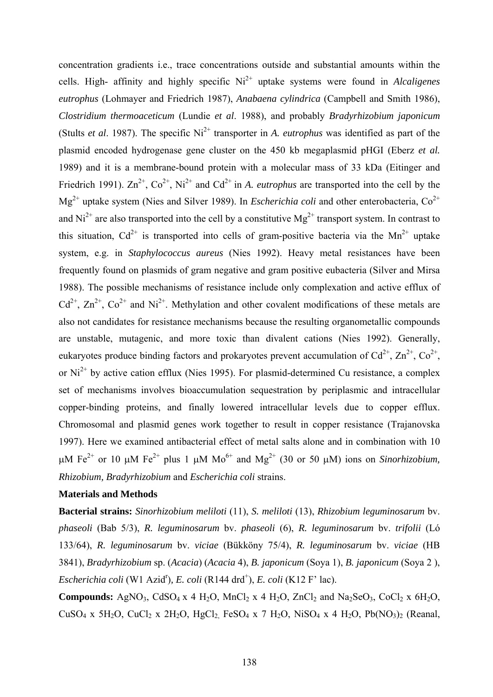concentration gradients i.e., trace concentrations outside and substantial amounts within the cells. High- affinity and highly specific  $Ni^{2+}$  uptake systems were found in *Alcaligenes eutrophus* (Lohmayer and Friedrich 1987), *Anabaena cylindrica* (Campbell and Smith 1986), *Clostridium thermoaceticum* (Lundie *et al*. 1988), and probably *Bradyrhizobium japonicum* (Stults *et al.* 1987). The specific  $Ni^{2+}$  transporter in *A. eutrophus* was identified as part of the plasmid encoded hydrogenase gene cluster on the 450 kb megaplasmid pHGI (Eberz *et al.* 1989) and it is a membrane-bound protein with a molecular mass of 33 kDa (Eitinger and Friedrich 1991).  $\text{Zn}^{2+}$ ,  $\text{Co}^{2+}$ , Ni<sup>2+</sup> and  $\text{Cd}^{2+}$  in *A. eutrophus* are transported into the cell by the Mg<sup>2+</sup> uptake system (Nies and Silver 1989). In *Escherichia coli* and other enterobacteria, Co<sup>2+</sup> and  $Ni^{2+}$  are also transported into the cell by a constitutive  $Mg^{2+}$  transport system. In contrast to this situation,  $Cd^{2+}$  is transported into cells of gram-positive bacteria via the Mn<sup>2+</sup> uptake system, e.g. in *Staphylococcus aureus* (Nies 1992). Heavy metal resistances have been frequently found on plasmids of gram negative and gram positive eubacteria (Silver and Mirsa 1988). The possible mechanisms of resistance include only complexation and active efflux of  $Cd^{2+}$ ,  $Zn^{2+}$ ,  $Co^{2+}$  and  $Ni^{2+}$ . Methylation and other covalent modifications of these metals are also not candidates for resistance mechanisms because the resulting organometallic compounds are unstable, mutagenic, and more toxic than divalent cations (Nies 1992). Generally, eukaryotes produce binding factors and prokaryotes prevent accumulation of  $Cd^{2+}$ ,  $Zn^{2+}$ ,  $Co^{2+}$ , or Ni<sup>2+</sup> by active cation efflux (Nies 1995). For plasmid-determined Cu resistance, a complex set of mechanisms involves bioaccumulation sequestration by periplasmic and intracellular copper-binding proteins, and finally lowered intracellular levels due to copper efflux. Chromosomal and plasmid genes work together to result in copper resistance (Trajanovska 1997). Here we examined antibacterial effect of metal salts alone and in combination with 10 μM Fe<sup>2+</sup> or 10 μM Fe<sup>2+</sup> plus 1 μM Mo<sup>6+</sup> and Mg<sup>2+</sup> (30 or 50 μM) ions on *Sinorhizobium*. *Rhizobium, Bradyrhizobium* and *Escherichia coli* strains.

# **Materials and Methods**

**Bacterial strains:** *Sinorhizobium meliloti* (11), *S. meliloti* (13), *Rhizobium leguminosarum* bv. *phaseoli* (Bab 5/3), *R. leguminosarum* bv. *phaseoli* (6), *R. leguminosarum* bv. *trifolii* (Ló 133/64), *R. leguminosarum* bv. *viciae* (Bükköny 75/4), *R. leguminosarum* bv. *viciae* (HB 3841), *Bradyrhizobium* sp. (*Acacia*) (*Acacia* 4), *B. japonicum* (Soya 1), *B. japonicum* (Soya 2 ), *Escherichia coli* (W1 Azid<sup>r</sup>), *E. coli* (R144 drd<sup>+</sup>), *E. coli* (K12 F' lac).

**Compounds:** AgNO<sub>3</sub>, CdSO<sub>4</sub> x 4 H<sub>2</sub>O, MnCl<sub>2</sub> x 4 H<sub>2</sub>O, ZnCl<sub>2</sub> and Na<sub>2</sub>SeO<sub>3</sub>, CoCl<sub>2</sub> x 6H<sub>2</sub>O,  $CuSO_4$  x 5H<sub>2</sub>O,  $CuCl_2$  x 2H<sub>2</sub>O, HgCl<sub>2</sub> FeSO<sub>4</sub> x 7 H<sub>2</sub>O, NiSO<sub>4</sub> x 4 H<sub>2</sub>O, Pb(NO<sub>3</sub>)<sub>2</sub> (Reanal,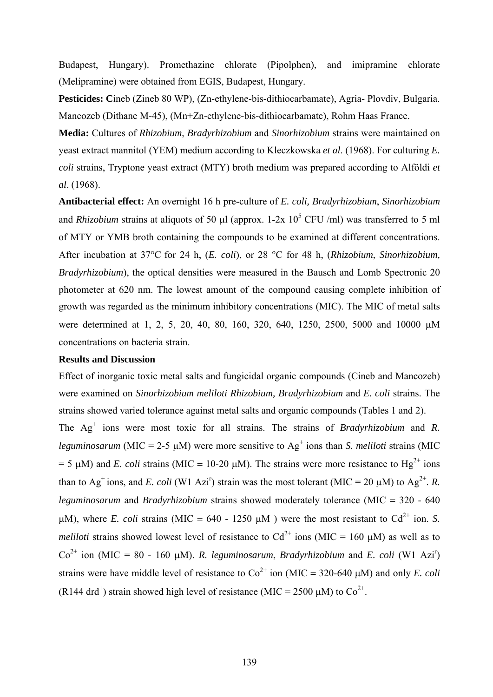Budapest, Hungary). Promethazine chlorate (Pipolphen), and imipramine chlorate (Melipramine) were obtained from EGIS, Budapest, Hungary.

Pesticides: Cineb (Zineb 80 WP), (Zn-ethylene-bis-dithiocarbamate), Agria- Plovdiv, Bulgaria. Mancozeb (Dithane M-45), (Mn+Zn-ethylene-bis-dithiocarbamate), Rohm Haas France.

**Media:** Cultures of *Rhizobium*, *Bradyrhizobium* and *Sinorhizobium* strains were maintained on yeast extract mannitol (YEM) medium according to Kleczkowska *et al*. (1968). For culturing *E. coli* strains, Tryptone yeast extract (MTY) broth medium was prepared according to Alföldi *et al*. (1968).

**Antibacterial effect:** An overnight 16 h pre-culture of *E. coli, Bradyrhizobium*, *Sinorhizobium* and *Rhizobium* strains at aliquots of 50  $\mu$ l (approx. 1-2x 10<sup>5</sup> CFU/ml) was transferred to 5 ml of MTY or YMB broth containing the compounds to be examined at different concentrations. After incubation at 37°C for 24 h, (*E. coli*), or 28 °C for 48 h, (*Rhizobium*, *Sinorhizobium, Bradyrhizobium*), the optical densities were measured in the Bausch and Lomb Spectronic 20 photometer at 620 nm. The lowest amount of the compound causing complete inhibition of growth was regarded as the minimum inhibitory concentrations (MIC). The MIC of metal salts were determined at 1, 2, 5, 20, 40, 80, 160, 320, 640, 1250, 2500, 5000 and 10000 μM concentrations on bacteria strain.

# **Results and Discussion**

Effect of inorganic toxic metal salts and fungicidal organic compounds (Cineb and Mancozeb) were examined on *Sinorhizobium meliloti Rhizobium, Bradyrhizobium* and *E. coli* strains. The strains showed varied tolerance against metal salts and organic compounds (Tables 1 and 2). The Ag<sup>+</sup> ions were most toxic for all strains. The strains of *Bradyrhizobium* and *R*. *leguminosarum* (MIC = 2-5  $\mu$ M) were more sensitive to Ag<sup>+</sup> ions than *S. meliloti* strains (MIC = 5  $\mu$ M) and *E. coli* strains (MIC = 10-20  $\mu$ M). The strains were more resistance to Hg<sup>2+</sup> ions than to Ag<sup>+</sup> ions, and *E. coli* (W1 Azi<sup>r</sup>) strain was the most tolerant (MIC = 20  $\mu$ M) to Ag<sup>2+</sup>. *R. leguminosarum* and *Bradyrhizobium* strains showed moderately tolerance (MIC = 320 - 640 μM), where *E. coli* strains (MIC = 640 - 1250 μM) were the most resistant to Cd<sup>2+</sup> ion. *S. meliloti* strains showed lowest level of resistance to  $Cd^{2+}$  ions (MIC = 160 µM) as well as to Co<sup>2+</sup> ion (MIC = 80 - 160 µM). *R. leguminosarum, Bradyrhizobium* and *E. coli* (W1 Azi<sup>r</sup>) strains were have middle level of resistance to  $Co^{2+}$  ion (MIC = 320-640 µM) and only *E. coli* (R144 drd<sup>+</sup>) strain showed high level of resistance (MIC = 2500  $\mu$ M) to Co<sup>2+</sup>.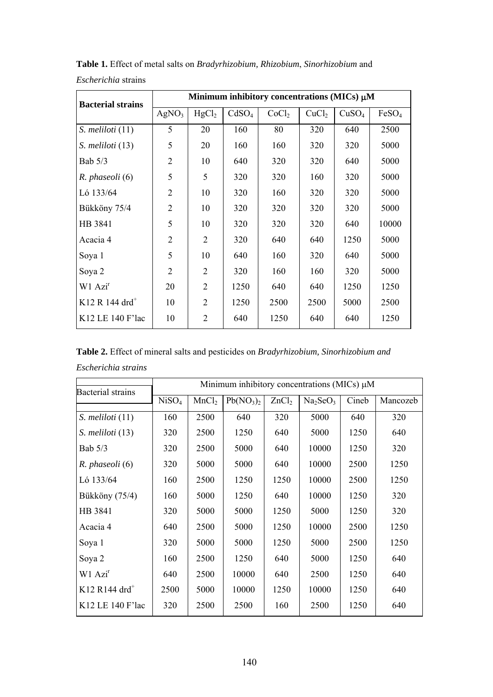| <b>Bacterial strains</b>   | Minimum inhibitory concentrations (MICs) µM |                   |                   |                   |                   |                   |                   |  |  |
|----------------------------|---------------------------------------------|-------------------|-------------------|-------------------|-------------------|-------------------|-------------------|--|--|
|                            | AgNO <sub>3</sub>                           | HgCl <sub>2</sub> | CdSO <sub>4</sub> | CoCl <sub>2</sub> | CuCl <sub>2</sub> | CuSO <sub>4</sub> | FeSO <sub>4</sub> |  |  |
| S. meliloti (11)           | 5                                           | 20                | 160               | 80                | 320               | 640               | 2500              |  |  |
| S. meliloti (13)           | 5                                           | 20                | 160               | 160               | 320               | 320               | 5000              |  |  |
| Bab $5/3$                  | $\overline{2}$                              | 10                | 640               | 320               | 320               | 640               | 5000              |  |  |
| R. phaseoli (6)            | 5                                           | 5                 | 320               | 320               | 160               | 320               | 5000              |  |  |
| Ló 133/64                  | 2                                           | 10                | 320               | 160               | 320               | 320               | 5000              |  |  |
| Bükköny 75/4               | $\overline{2}$                              | 10                | 320               | 320               | 320               | 320               | 5000              |  |  |
| HB 3841                    | 5                                           | 10                | 320               | 320               | 320               | 640               | 10000             |  |  |
| Acacia 4                   | $\overline{2}$                              | $\overline{2}$    | 320               | 640               | 640               | 1250              | 5000              |  |  |
| Soya 1                     | 5                                           | 10                | 640               | 160               | 320               | 640               | 5000              |  |  |
| Soya 2                     | $\mathfrak{D}$                              | $\overline{2}$    | 320               | 160               | 160               | 320               | 5000              |  |  |
| W1 Azi <sup>r</sup>        | 20                                          | $\overline{2}$    | 1250              | 640               | 640               | 1250              | 1250              |  |  |
| K12 R 144 drd <sup>+</sup> | 10                                          | $\overline{2}$    | 1250              | 2500              | 2500              | 5000              | 2500              |  |  |
| K12 LE 140 F'lac           | 10                                          | $\overline{2}$    | 640               | 1250              | 640               | 640               | 1250              |  |  |

**Table 1.** Effect of metal salts on *Bradyrhizobium, Rhizobium*, *Sinorhizobium* and *Escherichia* strains

**Table 2.** Effect of mineral salts and pesticides on *Bradyrhizobium, Sinorhizobium and Escherichia strains*

| <b>Bacterial</b> strains    | Minimum inhibitory concentrations (MICs) µM |                   |                                   |                   |                                  |       |          |  |  |
|-----------------------------|---------------------------------------------|-------------------|-----------------------------------|-------------------|----------------------------------|-------|----------|--|--|
|                             | NiSO <sub>4</sub>                           | MnCl <sub>2</sub> | Pb(NO <sub>3</sub> ) <sub>2</sub> | ZnCl <sub>2</sub> | Na <sub>2</sub> SeO <sub>3</sub> | Cineb | Mancozeb |  |  |
| S. meliloti (11)            | 160                                         | 2500              | 640                               | 320               | 5000                             | 640   | 320      |  |  |
| S. meliloti (13)            | 320                                         | 2500              | 1250                              | 640               | 5000                             | 1250  | 640      |  |  |
| Bab $5/3$                   | 320                                         | 2500              | 5000                              | 640               | 10000                            | 1250  | 320      |  |  |
| R. phaseoli (6)             | 320                                         | 5000              | 5000                              | 640               | 10000                            | 2500  | 1250     |  |  |
| Ló $133/64$                 | 160                                         | 2500              | 1250                              | 1250              | 10000                            | 2500  | 1250     |  |  |
| Bükköny (75/4)              | 160                                         | 5000              | 1250                              | 640               | 10000                            | 1250  | 320      |  |  |
| HB 3841                     | 320                                         | 5000              | 5000                              | 1250              | 5000                             | 1250  | 320      |  |  |
| Acacia 4                    | 640                                         | 2500              | 5000                              | 1250              | 10000                            | 2500  | 1250     |  |  |
| Soya 1                      | 320                                         | 5000              | 5000                              | 1250              | 5000                             | 2500  | 1250     |  |  |
| Soya 2                      | 160                                         | 2500              | 1250                              | 640               | 5000                             | 1250  | 640      |  |  |
| W1 Azi <sup>r</sup>         | 640                                         | 2500              | 10000                             | 640               | 2500                             | 1250  | 640      |  |  |
| $K12$ R144 drd <sup>+</sup> | 2500                                        | 5000              | 10000                             | 1250              | 10000                            | 1250  | 640      |  |  |
| K12 LE 140 F'lac            | 320                                         | 2500              | 2500                              | 160               | 2500                             | 1250  | 640      |  |  |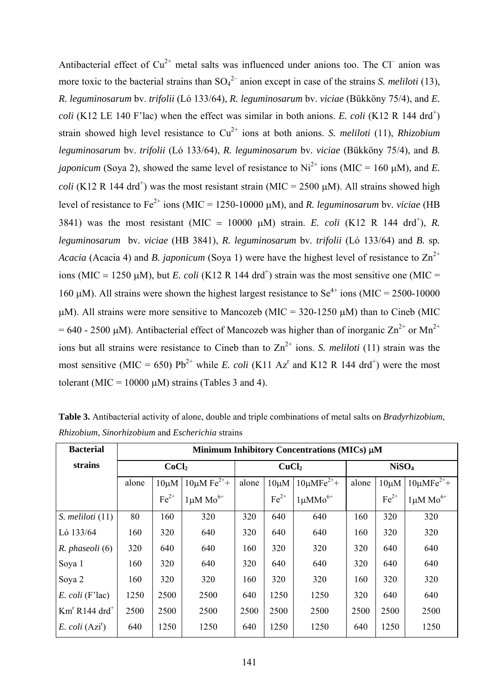Antibacterial effect of  $Cu^{2+}$  metal salts was influenced under anions too. The Cl<sup>-</sup> anion was more toxic to the bacterial strains than  $SO_4^{2-}$  anion except in case of the strains *S. meliloti* (13), *R. leguminosarum* bv. *trifolii* (Ló 133/64), *R. leguminosarum* bv. *viciae* (Bükköny 75/4), and *E. coli* (K12 LE 140 F'lac) when the effect was similar in both anions. *E. coli* (K12 R 144 drd<sup>+</sup>) strain showed high level resistance to  $Cu^{2+}$  ions at both anions. *S. meliloti* (11), *Rhizobium leguminosarum* bv. *trifolii* (Ló 133/64), *R. leguminosarum* bv*. viciae* (Bükköny 75/4), and *B. japonicum* (Soya 2), showed the same level of resistance to  $Ni^{2+}$  ions (MIC = 160  $\mu$ M), and *E*. *coli* (K12 R 144 drd<sup>+</sup>) was the most resistant strain (MIC = 2500  $\mu$ M). All strains showed high level of resistance to Fe2+ ions (MIC = 1250-10000 μM), and *R. leguminosarum* bv*. viciae* (HB 3841) was the most resistant (MIC = 10000  $\mu$ M) strain. *E. coli* (K12 R 144 drd<sup>+</sup>), *R. leguminosarum* bv*. viciae* (HB 3841), *R. leguminosarum* bv*. trifolii* (Ló 133/64) and *B.* sp*. Acacia* (Acacia 4) and *B. japonicum* (Soya 1) were have the highest level of resistance to  $\text{Zn}^{2+}$ ions (MIC = 1250  $\mu$ M), but *E. coli* (K12 R 144 drd<sup>+</sup>) strain was the most sensitive one (MIC = 160 μM). All strains were shown the highest largest resistance to  $Se^{4+}$  ions (MIC = 2500-10000) μM). All strains were more sensitive to Mancozeb (MIC =  $320-1250 \mu$ M) than to Cineb (MIC  $= 640 - 2500 \mu M$ ). Antibacterial effect of Mancozeb was higher than of inorganic  $\text{Zn}^{2+}$  or Mn<sup>2+</sup> ions but all strains were resistance to Cineb than to  $Zn^{2+}$  ions. *S. meliloti* (11) strain was the most sensitive (MIC = 650)  $Pb^{2+}$  while *E. coli* (K11 Az<sup>r</sup> and K12 R 144 drd<sup>+</sup>) were the most tolerant (MIC = 10000  $\mu$ M) strains (Tables 3 and 4).

| <b>Bacterial</b>                | Minimum Inhibitory Concentrations (MICs) µM |            |                            |                   |                                  |                    |                   |            |                       |
|---------------------------------|---------------------------------------------|------------|----------------------------|-------------------|----------------------------------|--------------------|-------------------|------------|-----------------------|
| strains                         | CoCl <sub>2</sub>                           |            |                            | CuCl <sub>2</sub> |                                  |                    | NiSO <sub>4</sub> |            |                       |
|                                 | alone                                       | $10 \mu M$ | $10 \mu M \text{Fe}^{2+}+$ | alone             | $10 \mu MFe^{2+}+$<br>$10 \mu M$ |                    | alone             | $10 \mu M$ | $10 \mu M F e^{2+} +$ |
|                                 |                                             | $Fe2+$     | $1 \mu M$ Mo <sup>6+</sup> |                   | $Fe2+$                           | $1 \mu M M o^{6+}$ |                   | $Fe2+$     | $1 \mu M$ $Mo^{6+}$   |
| $S.$ meliloti $(11)$            | 80                                          | 160        | 320                        | 320               | 640                              | 640                | 160               | 320        | 320                   |
| Ló 133/64                       | 160                                         | 320        | 640                        | 320               | 640                              | 640                | 160               | 320        | 320                   |
| R. phaseoli (6)                 | 320                                         | 640        | 640                        | 160               | 320                              | 320                | 320               | 640        | 640                   |
| Soya 1                          | 160                                         | 320        | 640                        | 320               | 640                              | 640                | 320               | 640        | 640                   |
| Soya 2                          | 160                                         | 320        | 320                        | 160               | 320                              | 320                | 160               | 320        | 320                   |
| $E. \text{coli}$ (F'lac)        | 1250                                        | 2500       | 2500                       | 640               | 1250                             | 1250               | 320               | 640        | 640                   |
| $Kmr$ R144 drd <sup>+</sup>     | 2500                                        | 2500       | 2500                       | 2500              | 2500                             | 2500               | 2500              | 2500       | 2500                  |
| E. $\text{coli} (\text{Azi}^r)$ | 640                                         | 1250       | 1250                       | 640               | 1250                             | 1250               | 640               | 1250       | 1250                  |

**Table 3.** Antibacterial activity of alone, double and triple combinations of metal salts on *Bradyrhizobium*, *Rhizobium*, *Sinorhizobium* and *Escherichia* strains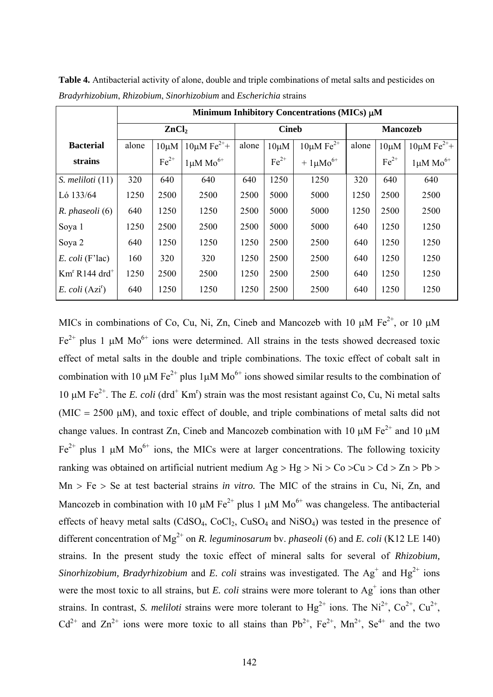|                                 | Minimum Inhibitory Concentrations (MICs) µM |            |                            |                                                  |        |                           |                 |                            |                            |
|---------------------------------|---------------------------------------------|------------|----------------------------|--------------------------------------------------|--------|---------------------------|-----------------|----------------------------|----------------------------|
|                                 | ZnCl <sub>2</sub>                           |            |                            | <b>Cineb</b>                                     |        |                           | <b>Mancozeb</b> |                            |                            |
| <b>Bacterial</b>                | alone                                       | $10 \mu M$ | $10 \mu M \text{Fe}^{2+}+$ | $10 \mu M \text{Fe}^{2+}$<br>alone<br>$10 \mu M$ |        | alone                     | $10 \mu M$      | $10 \mu M \text{Fe}^{2+}+$ |                            |
| strains                         |                                             | $Fe2+$     | $1 \mu M$ $Mo^{6+}$        |                                                  | $Fe2+$ | $+1 \mu$ Mo <sup>6+</sup> |                 | $Fe2+$                     | $1 \mu M$ Mo <sup>6+</sup> |
| $S.$ meliloti $(11)$            | 320                                         | 640        | 640                        | 640                                              | 1250   | 1250                      | 320             | 640                        | 640                        |
| Ló 133/64                       | 1250                                        | 2500       | 2500                       | 2500                                             | 5000   | 5000                      | 1250            | 2500                       | 2500                       |
| R. phaseoli (6)                 | 640                                         | 1250       | 1250                       | 2500                                             | 5000   | 5000                      | 1250            | 2500                       | 2500                       |
| Soya 1                          | 1250                                        | 2500       | 2500                       | 2500                                             | 5000   | 5000                      | 640             | 1250                       | 1250                       |
| Soya 2                          | 640                                         | 1250       | 1250                       | 1250                                             | 2500   | 2500                      | 640             | 1250                       | 1250                       |
| $E. \text{coli}$ (F'lac)        | 160                                         | 320        | 320                        | 1250                                             | 2500   | 2500                      | 640             | 1250                       | 1250                       |
| $Kmr$ R144 drd <sup>+</sup>     | 1250                                        | 2500       | 2500                       | 1250                                             | 2500   | 2500                      | 640             | 1250                       | 1250                       |
| E. $\text{coli} (\text{Azi}^r)$ | 640                                         | 1250       | 1250                       | 1250                                             | 2500   | 2500                      | 640             | 1250                       | 1250                       |

**Table 4.** Antibacterial activity of alone, double and triple combinations of metal salts and pesticides on *Bradyrhizobium*, *Rhizobium*, *Sinorhizobium* and *Escherichia* strains

MICs in combinations of Co, Cu, Ni, Zn, Cineb and Mancozeb with 10  $\mu$ M Fe<sup>2+</sup>, or 10  $\mu$ M  $Fe<sup>2+</sup>$  plus 1 μM Mo<sup>6+</sup> ions were determined. All strains in the tests showed decreased toxic effect of metal salts in the double and triple combinations. The toxic effect of cobalt salt in combination with 10 μM Fe<sup>2+</sup> plus 1μM Mo<sup>6+</sup> ions showed similar results to the combination of 10 μM Fe<sup>2+</sup>. The *E. coli* (drd<sup>+</sup> Km<sup>r</sup>) strain was the most resistant against Co, Cu, Ni metal salts (MIC = 2500  $\mu$ M), and toxic effect of double, and triple combinations of metal salts did not change values. In contrast Zn, Cineb and Mancozeb combination with 10  $\mu$ M Fe<sup>2+</sup> and 10  $\mu$ M Fe<sup>2+</sup> plus 1 μM Mo<sup>6+</sup> ions, the MICs were at larger concentrations. The following toxicity ranking was obtained on artificial nutrient medium  $Ag > Hg > Ni > Co > Cu > Cd > Zn > Pb >$ Mn > Fe > Se at test bacterial strains *in vitro.* The MIC of the strains in Cu, Ni, Zn, and Mancozeb in combination with 10 μM  $Fe^{2+}$  plus 1 μM  $Mo^{6+}$  was changeless. The antibacterial effects of heavy metal salts ( $CdSO<sub>4</sub>$ ,  $CoCl<sub>2</sub>$ ,  $CuSO<sub>4</sub>$  and  $NiSO<sub>4</sub>$ ) was tested in the presence of different concentration of Mg<sup>2+</sup> on *R. leguminosarum* bv. *phaseoli* (6) and *E. coli* (K12 LE 140) strains. In the present study the toxic effect of mineral salts for several of *Rhizobium, Sinorhizobium, Bradyrhizobium* and *E. coli* strains was investigated. The  $Ag^+$  and  $Hg^{2+}$  ions were the most toxic to all strains, but *E. coli* strains were more tolerant to  $Ag<sup>+</sup>$  ions than other strains. In contrast, *S. meliloti* strains were more tolerant to  $Hg^{2+}$  ions. The Ni<sup>2+</sup>, Co<sup>2+</sup>, Cu<sup>2+</sup>,  $Cd^{2+}$  and  $Zn^{2+}$  ions were more toxic to all stains than Pb<sup>2+</sup>, Fe<sup>2+</sup>, Mn<sup>2+</sup>, Se<sup>4+</sup> and the two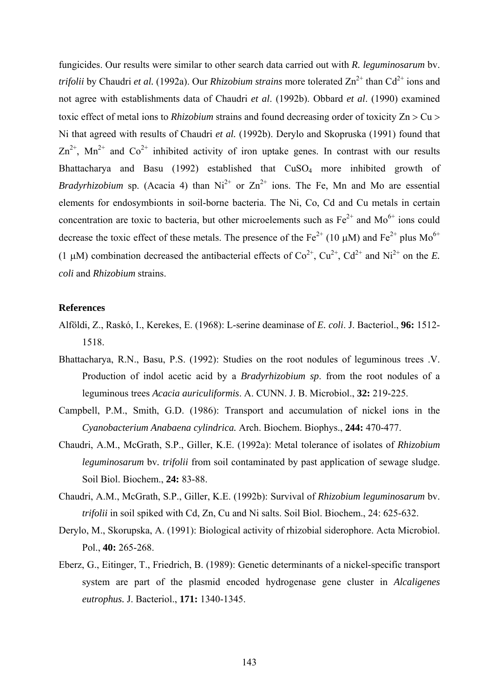fungicides. Our results were similar to other search data carried out with *R. leguminosarum* bv. *trifolii* by Chaudri *et al.* (1992a). Our *Rhizobium strains* more tolerated  $\text{Zn}^{2+}$  than Cd<sup>2+</sup> ions and not agree with establishments data of Chaudri *et al*. (1992b). Obbard *et al*. (1990) examined toxic effect of metal ions to *Rhizobium* strains and found decreasing order of toxicity Zn > Cu > Ni that agreed with results of Chaudri *et al.* (1992b). Derylo and Skopruska (1991) found that  $\text{Zn}^{2+}$ , Mn<sup>2+</sup> and Co<sup>2+</sup> inhibited activity of iron uptake genes. In contrast with our results Bhattacharya and Basu (1992) established that CuSO<sub>4</sub> more inhibited growth of *Bradyrhizobium* sp. (Acacia 4) than  $Ni^{2+}$  or  $Zn^{2+}$  ions. The Fe, Mn and Mo are essential elements for endosymbionts in soil-borne bacteria. The Ni, Co, Cd and Cu metals in certain concentration are toxic to bacteria, but other microelements such as  $Fe^{2+}$  and  $Mo^{6+}$  ions could decrease the toxic effect of these metals. The presence of the  $Fe^{2+}$  (10 µM) and  $Fe^{2+}$  plus Mo<sup>6+</sup> (1 μM) combination decreased the antibacterial effects of  $Co^{2+}$ ,  $Cu^{2+}$ ,  $Cd^{2+}$  and  $Ni^{2+}$  on the *E*. *coli* and *Rhizobium* strains.

#### **References**

- Alföldi, Z., Raskó, I., Kerekes, E. (1968): L-serine deaminase of *E. coli*. J. Bacteriol., **96:** 1512- 1518.
- Bhattacharya, R.N., Basu, P.S. (1992): Studies on the root nodules of leguminous trees .V. Production of indol acetic acid by a *Bradyrhizobium sp*. from the root nodules of a leguminous trees *Acacia auriculiformis*. A. CUNN. J. B. Microbiol., **32:** 219-225.
- Campbell, P.M., Smith, G.D. (1986): Transport and accumulation of nickel ions in the *Cyanobacterium Anabaena cylindrica.* Arch. Biochem. Biophys., **244:** 470-477.
- Chaudri, A.M., McGrath, S.P., Giller, K.E. (1992a): Metal tolerance of isolates of *Rhizobium leguminosarum* bv*. trifolii* from soil contaminated by past application of sewage sludge. Soil Biol. Biochem., **24:** 83-88.
- Chaudri, A.M., McGrath, S.P., Giller, K.E. (1992b): Survival of *Rhizobium leguminosarum* bv. *trifolii* in soil spiked with Cd, Zn, Cu and Ni salts. Soil Biol. Biochem., 24: 625-632.
- Derylo, M., Skorupska, A. (1991): Biological activity of rhizobial siderophore. Acta Microbiol. Pol., **40:** 265-268.
- Eberz, G., Eitinger, T., Friedrich, B. (1989): Genetic determinants of a nickel-specific transport system are part of the plasmid encoded hydrogenase gene cluster in *Alcaligenes eutrophus.* J. Bacteriol., **171:** 1340-1345.